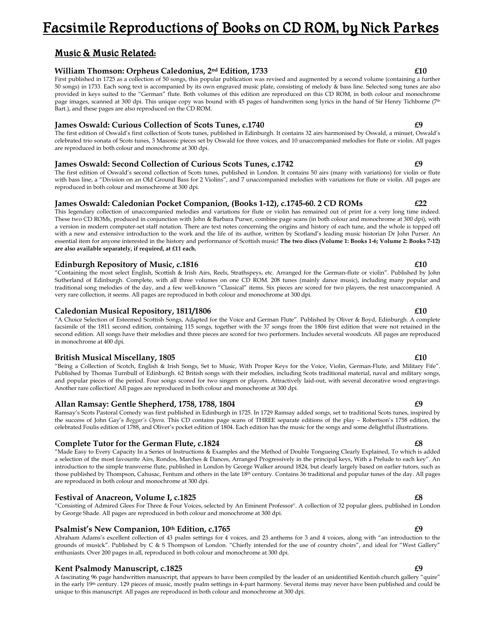# Facsimile Reproductions of Books on CD ROM, by Nick Parkes

# Music & Music Related:

### **William Thomson: Orpheus Caledonius, 2nd Edition, 1733 £10**

First published in 1725 as a collection of 50 songs, this popular publication was revised and augmented by a second volume (containing a further 50 songs) in 1733. Each song text is accompanied by its own engraved music plate, consisting of melody & bass line. Selected song tunes are also provided in keys suited to the "German" flute. Both volumes of this edition are reproduced on this CD ROM, in both colour and monochrome page images, scanned at 300 dpi. This unique copy was bound with 45 pages of handwritten song lyrics in the hand of Sir Henry Tichborne (7<sup>th</sup> Bart.), and these pages are also reproduced on the CD ROM.

### **James Oswald: Curious Collection of Scots Tunes, c.1740 £9**

The first edition of Oswald's first collection of Scots tunes, published in Edinburgh. It contains 32 airs harmonised by Oswald, a minuet, Oswald's celebrated trio sonata of Scots tunes, 3 Masonic pieces set by Oswald for three voices, and 10 unaccompanied melodies for flute or violin. All pages are reproduced in both colour and monochrome at 300 dpi.

### **James Oswald: Second Collection of Curious Scots Tunes, c.1742**

The first edition of Oswald's second collection of Scots tunes, published in London. It contains 50 airs (many with variations) for violin or flute with bass line, a "Division on an Old Ground Bass for 2 Violins", and 7 unaccompanied melodies with variations for flute or violin. All pages are reproduced in both colour and monochrome at 300 dpi.

#### **James Oswald: Caledonian Pocket Companion, (Books 1-12), c.1745-60. 2 CD ROMs £22**

This legendary collection of unaccompanied melodies and variations for flute or violin has remained out of print for a very long time indeed. These two CD ROMs, produced in conjunction with John & Barbara Purser, combine page scans (in both colour and monochrome at 300 dpi), with a version in modern computer-set staff notation. There are text notes concerning the origins and history of each tune, and the whole is topped off with a new and extensive introduction to the work and the life of its author, written by Scotland's leading music historian Dr John Purser. An essential item for anyone interested in the history and performance of Scottish music! **The two discs (Volume 1: Books 1-6; Volume 2: Books 7-12) are also available separately, if required, at £11 each.** 

### **Edinburgh Repository of Music, c.1816 Equal by Equal by Equal by Equal by Equal by Equal by Equal by Equal by Equ**

"Containing the most select English, Scottish & Irish Airs, Reels, Strathspeys, etc. Arranged for the German-flute or violin". Published by John Sutherland of Edinburgh. Complete, with all three volumes on one CD ROM. 208 tunes (mainly dance music), including many popular and traditional song melodies of the day, and a few well-known "Classical" items. Six pieces are scored for two players, the rest unaccompanied. A very rare collection, it seems. All pages are reproduced in both colour and monochrome at 300 dpi.

#### **Caledonian Musical Repository, 1811/1806**

"A Choice Selection of Esteemed Scottish Songs, Adapted for the Voice and German Flute". Published by Oliver & Boyd, Edinburgh. A complete facsimile of the 1811 second edition, containing 115 songs, together with the 37 songs from the 1806 first edition that were not retained in the second edition. All songs have their melodies and three pieces are scored for two performers. Includes several woodcuts. All pages are reproduced in monochrome at 400 dpi.

### **British Musical Miscellany, 1805**  $\epsilon$ 10 *E*

"Being a Collection of Scotch, English & Irish Songs, Set to Music, With Proper Keys for the Voice, Violin, German-Flute, and Military Fife". Published by Thomas Turnbull of Edinburgh. 62 British songs with their melodies, including Scots traditional material, naval and military songs, and popular pieces of the period. Four songs scored for two singers or players. Attractively laid-out, with several decorative wood engravings. Another rare collection! All pages are reproduced in both colour and monochrome at 300 dpi.

#### **Allan Ramsay: Gentle Shepherd, 1758, 1788, 1804 £9**

Ramsay's Scots Pastoral Comedy was first published in Edinburgh in 1725. In 1729 Ramsay added songs, set to traditional Scots tunes, inspired by the success of John Gay's *Beggar's Opera*. This CD contains page scans of THREE separate editions of the play – Robertson's 1758 edition, the celebrated Foulis edition of 1788, and Oliver's pocket edition of 1804. Each edition has the music for the songs and some delightful illustrations.

### **Complete Tutor for the German Flute, c.1824**

"Made Easy to Every Capacity In a Series of Instructions & Examples and the Method of Double Tongueing Clearly Explained, To which is added a selection of the most favourite Airs, Rondos, Marches & Dances, Arranged Progressively in the principal keys, With a Prelude to each key". An introduction to the simple transverse flute, published in London by George Walker around 1824, but clearly largely based on earlier tutors, such as those published by Thompson, Cahusac, Fentum and others in the late 18th century. Contains 36 traditional and popular tunes of the day. All pages are reproduced in both colour and monochrome at 300 dpi.

### **Festival of Anacreon, Volume I, c.1825 £8**

#### "Consisting of Admired Glees For Three & Four Voices, selected by An Eminent Professor". A collection of 32 popular glees, published in London by George Shade. All pages are reproduced in both colour and monochrome at 300 dpi.

### Psalmist's New Companion, 10<sup>th</sup> Edition, c.1765

Abraham Adams's excellent collection of 43 psalm settings for 4 voices, and 23 anthems for 3 and 4 voices, along with "an introduction to the grounds of musick". Published by C & S Thompson of London. "Chiefly intended for the use of country choirs", and ideal for "West Gallery" enthusiasts. Over 200 pages in all, reproduced in both colour and monochrome at 300 dpi.

### **Kent Psalmody Manuscript, c.1825**  $\qquad \qquad \textbf{29}$

A fascinating 96 page handwritten manuscript, that appears to have been compiled by the leader of an unidentified Kentish church gallery "quire" in the early 19<sup>th</sup> century. 129 pieces of music, mostly psalm settings in 4-part harmony. Several items may never have been published and could be unique to this manuscript. All pages are reproduced in both colour and monochrome at 300 dpi.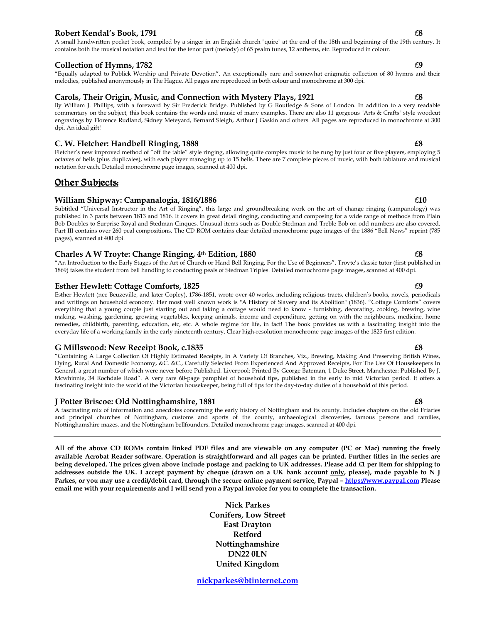### **Robert Kendal's Book, 1791 Example 20 Example 20 Example 20 Example 20 Example 20 EX**

A small handwritten pocket book, compiled by a singer in an English church "quire" at the end of the 18th and beginning of the 19th century. It contains both the musical notation and text for the tenor part (melody) of 65 psalm tunes, 12 anthems, etc. Reproduced in colour.

### **Collection of Hymns, 1782 E9**

"Equally adapted to Publick Worship and Private Devotion". An exceptionally rare and somewhat enigmatic collection of 80 hymns and their melodies, published anonymously in The Hague. All pages are reproduced in both colour and monochrome at 300 dpi.

#### **Carols, Their Origin, Music, and Connection with Mystery Plays, 1921 £8**

By William J. Phillips, with a foreward by Sir Frederick Bridge. Published by G Routledge & Sons of London. In addition to a very readable commentary on the subject, this book contains the words and music of many examples. There are also 11 gorgeous "Arts & Crafts" style woodcut engravings by Florence Rudland, Sidney Meteyard, Bernard Sleigh, Arthur J Gaskin and others. All pages are reproduced in monochrome at 300 dpi. An ideal gift!

### **C. W. Fletcher: Handbell Ringing, 1888 £8**

Fletcher's new improved method of "off the table" style ringing, allowing quite complex music to be rung by just four or five players, employing 5 octaves of bells (plus duplicates), with each player managing up to 15 bells. There are 7 complete pieces of music, with both tablature and musical notation for each. Detailed monochrome page images, scanned at 400 dpi.

## Other Subjects:

### William Shipway: Campanalogia, 1816/1886 **Election Shipway: Campanalogia**, 1816/1886

Subtitled "Universal Instructor in the Art of Ringing", this large and groundbreaking work on the art of change ringing (campanology) was published in 3 parts between 1813 and 1816. It covers in great detail ringing, conducting and composing for a wide range of methods from Plain Bob Doubles to Surprise Royal and Stedman Cinques. Unusual items such as Double Stedman and Treble Bob on odd numbers are also covered. Part III contains over 260 peal compositions. The CD ROM contains clear detailed monochrome page images of the 1886 "Bell News" reprint (785 pages), scanned at 400 dpi.

#### **Charles A W Troyte: Change Ringing, 4th Edition, 1880 £8**

"An Introduction to the Early Stages of the Art of Church or Hand Bell Ringing, For the Use of Beginners". Troyte's classic tutor (first published in 1869) takes the student from bell handling to conducting peals of Stedman Triples. Detailed monochrome page images, scanned at 400 dpi.

#### **Esther Hewlett: Cottage Comforts, 1825**

Esther Hewlett (nee Beuzeville, and later Copley), 1786-1851, wrote over 40 works, including religious tracts, children's books, novels, periodicals and writings on household economy. Her most well known work is "A History of Slavery and its Abolition" (1836). "Cottage Comforts" covers everything that a young couple just starting out and taking a cottage would need to know - furnishing, decorating, cooking, brewing, wine making, washing, gardening, growing vegetables, keeping animals, income and expenditure, getting on with the neighbours, medicine, home remedies, childbirth, parenting, education, etc, etc. A whole regime for life, in fact! The book provides us with a fascinating insight into the everyday life of a working family in the early nineteenth century. Clear high-resolution monochrome page images of the 1825 first edition.

#### **G Millswood: New Receipt Book, c.1835 £8**

"Containing A Large Collection Of Highly Estimated Receipts, In A Variety Of Branches, Viz., Brewing, Making And Preserving British Wines, Dying, Rural And Domestic Economy, &C. &C., Carefully Selected From Experienced And Approved Receipts, For The Use Of Housekeepers In General, a great number of which were never before Published. Liverpool: Printed By George Bateman, 1 Duke Street. Manchester: Published By J. Mcwhinnie, 34 Rochdale Road". A very rare 60-page pamphlet of household tips, published in the early to mid Victorian period. It offers a fascinating insight into the world of the Victorian housekeeper, being full of tips for the day-to-day duties of a household of this period.

#### **J Potter Briscoe: Old Nottinghamshire, 1881 £8**

A fascinating mix of information and anecdotes concerning the early history of Nottingham and its county. Includes chapters on the old Friaries and principal churches of Nottingham, customs and sports of the county, archaeological discoveries, famous persons and families, Nottinghamshire mazes, and the Nottingham bellfounders. Detailed monochrome page images, scanned at 400 dpi.

**All of the above CD ROMs contain linked PDF files and are viewable on any computer (PC or Mac) running the freely available Acrobat Reader software. Operation is straightforward and all pages can be printed. Further titles in the series are being developed. The prices given above include postage and packing to UK addresses. Please add £1 per item for shipping to addresses outside the UK. I accept payment by cheque (drawn on a UK bank account only, please), made payable to N J Parkes, or you may use a credit/debit card, through the secure online payment service, Paypal – https://www.paypal.com Please email me with your requirements and I will send you a Paypal invoice for you to complete the transaction.** 

> **Nick Parkes Conifers, Low Street East Drayton Retford Nottinghamshire DN22 0LN United Kingdom**

**nickparkes@btinternet.com**